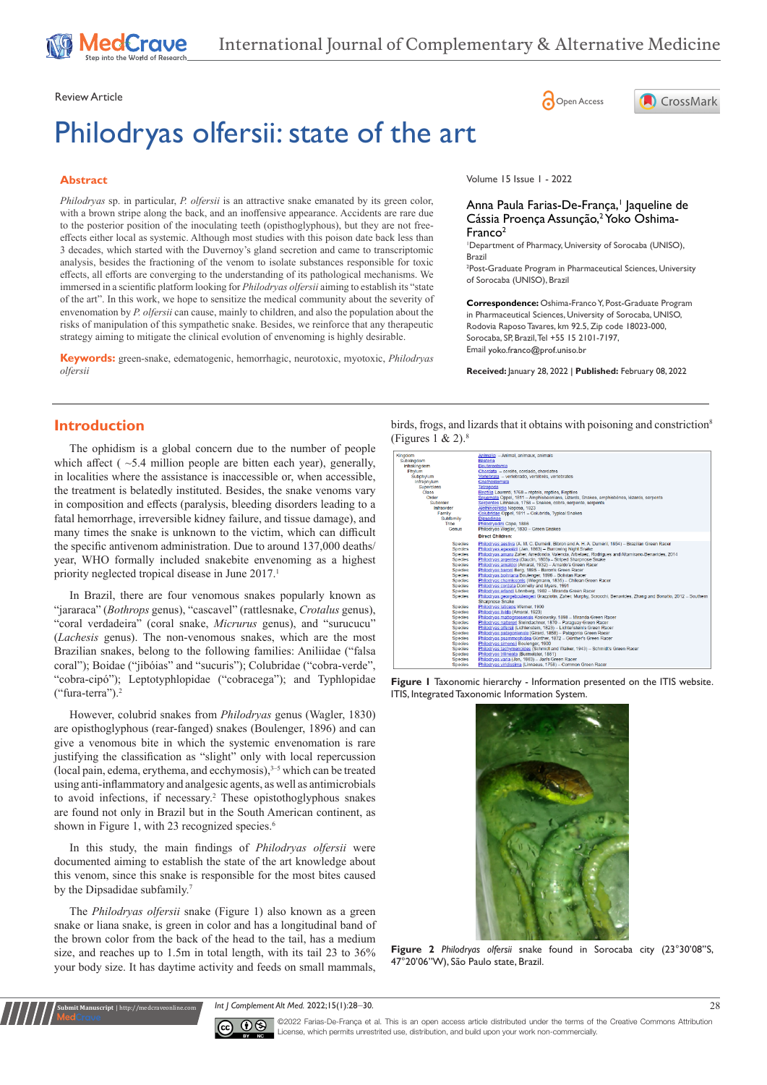Review Article **Contracts** Contracts and Contracts Contracts Contracts Contracts Contracts Contracts Contracts Contracts Contracts Contracts Contracts Contracts Contracts Contracts Contracts Contracts Contracts Contracts C

# Philodryas olfersii: state of the art

#### **Abstract**

*Philodryas* sp. in particular, *P. olfersii* is an attractive snake emanated by its green color, with a brown stripe along the back, and an inoffensive appearance. Accidents are rare due to the posterior position of the inoculating teeth (opisthoglyphous), but they are not freeeffects either local as systemic. Although most studies with this poison date back less than 3 decades, which started with the Duvernoy's gland secretion and came to transcriptomic analysis, besides the fractioning of the venom to isolate substances responsible for toxic effects, all efforts are converging to the understanding of its pathological mechanisms. We immersed in a scientific platform looking for *Philodryas olfersii* aiming to establish its "state of the art". In this work, we hope to sensitize the medical community about the severity of envenomation by *P. olfersii* can cause, mainly to children, and also the population about the risks of manipulation of this sympathetic snake. Besides, we reinforce that any therapeutic strategy aiming to mitigate the clinical evolution of envenoming is highly desirable.

**Keywords:** green-snake, edematogenic, hemorrhagic, neurotoxic, myotoxic, *Philodryas olfersii*

Volume 15 Issue 1 - 2022

#### Anna Paula Farias-De-França,<sup>1</sup> Jaqueline de Cássia Proença Assunção,<sup>2</sup> Yoko Oshima-Franco2

**A** CrossMark

1 Department of Pharmacy, University of Sorocaba (UNISO), Brazil

2 Post-Graduate Program in Pharmaceutical Sciences, University of Sorocaba (UNISO), Brazil

**Correspondence:** Oshima-Franco Y, Post-Graduate Program in Pharmaceutical Sciences, University of Sorocaba, UNISO, Rodovia Raposo Tavares, km 92.5, Zip code 18023-000, Sorocaba, SP, Brazil, Tel +55 15 2101-7197, Email yoko.franco@prof.uniso.br

**Received:** January 28, 2022 | **Published:** February 08, 2022

# **Introduction**

The ophidism is a global concern due to the number of people which affect ( $\sim$ 5.4 million people are bitten each year), generally, in localities where the assistance is inaccessible or, when accessible, the treatment is belatedly instituted. Besides, the snake venoms vary in composition and effects (paralysis, bleeding disorders leading to a fatal hemorrhage, irreversible kidney failure, and tissue damage), and many times the snake is unknown to the victim, which can difficult the specific antivenom administration. Due to around 137,000 deaths/ year, WHO formally included snakebite envenoming as a highest priority neglected tropical disease in June 2017.<sup>1</sup>

In Brazil, there are four venomous snakes popularly known as "jararaca" (*Bothrops* genus), "cascavel" (rattlesnake, *Crotalus* genus), "coral verdadeira" (coral snake, *Micrurus* genus), and "surucucu" (*Lachesis* genus). The non-venomous snakes, which are the most Brazilian snakes, belong to the following families: Aniliidae ("falsa coral"); Boidae ("jibóias" and "sucuris"); Colubridae ("cobra-verde", "cobra-cipó"); Leptotyphlopidae ("cobracega"); and Typhlopidae ("fura-terra").2

However, colubrid snakes from *Philodryas* genus (Wagler, 1830) are opisthoglyphous (rear-fanged) snakes (Boulenger, 1896) and can give a venomous bite in which the systemic envenomation is rare justifying the classification as "slight" only with local repercussion (local pain, edema, erythema, and ecchymosis), $3-5$  which can be treated using anti-inflammatory and analgesic agents, as well as antimicrobials to avoid infections, if necessary.<sup>2</sup> These opistothoglyphous snakes are found not only in Brazil but in the South American continent, as shown in Figure 1, with 23 recognized species.<sup>6</sup>

In this study, the main findings of *Philodryas olfersii* were documented aiming to establish the state of the art knowledge about this venom, since this snake is responsible for the most bites caused by the Dipsadidae subfamily.<sup>7</sup>

The *Philodryas olfersii* snake (Figure 1) also known as a green snake or liana snake, is green in color and has a longitudinal band of the brown color from the back of the head to the tail, has a medium size, and reaches up to 1.5m in total length, with its tail 23 to 36% your body size. It has daytime activity and feeds on small mammals,

**Kubmit Manuscript** | http://medcraveonline.c

birds, frogs, and lizards that it obtains with poisoning and constriction<sup>8</sup> (Figures 1 & 2). $8$ 



**Figure 1** Taxonomic hierarchy - Information presented on the ITIS website. ITIS, Integrated Taxonomic Information System.



**Figure 2** *Philodryas olfersii* snake found in Sorocaba city (23°30'08''S, 47°20'06"W), São Paulo state, Brazil.

*Int J Complement Alt Med.* 2022;15(1):28‒30. 28



©2022 Farias-De-França et al. This is an open access article distributed under the terms of the Creative Commons Attribution License, which permits unrestrited use, distribution, and build upon your work non-commercially.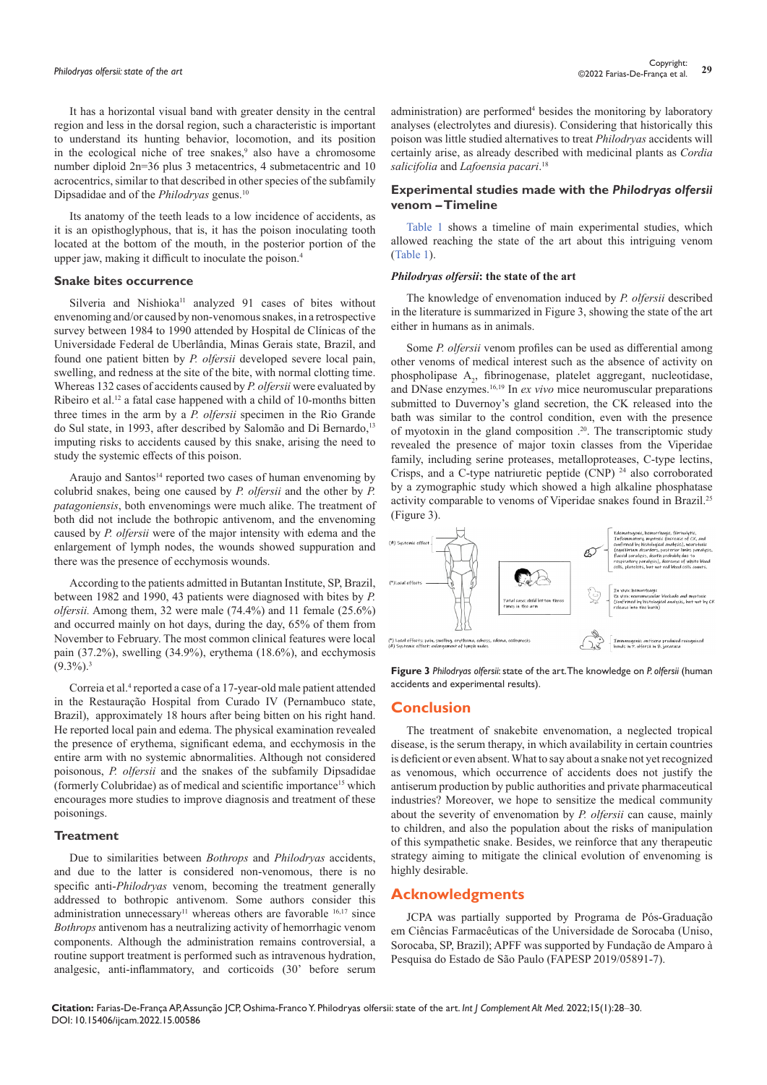It has a horizontal visual band with greater density in the central region and less in the dorsal region, such a characteristic is important to understand its hunting behavior, locomotion, and its position in the ecological niche of tree snakes,<sup>9</sup> also have a chromosome number diploid 2n=36 plus 3 metacentrics, 4 submetacentric and 10 acrocentrics, similar to that described in other species of the subfamily Dipsadidae and of the *Philodryas* genus.10

Its anatomy of the teeth leads to a low incidence of accidents, as it is an opisthoglyphous, that is, it has the poison inoculating tooth located at the bottom of the mouth, in the posterior portion of the upper jaw, making it difficult to inoculate the poison.4

#### **Snake bites occurrence**

Silveria and Nishioka<sup>11</sup> analyzed 91 cases of bites without envenoming and/or caused by non-venomous snakes, in a retrospective survey between 1984 to 1990 attended by Hospital de Clínicas of the Universidade Federal de Uberlândia, Minas Gerais state, Brazil, and found one patient bitten by *P. olfersii* developed severe local pain, swelling, and redness at the site of the bite, with normal clotting time. Whereas 132 cases of accidents caused by *P. olfersii* were evaluated by Ribeiro et al.12 a fatal case happened with a child of 10-months bitten three times in the arm by a *P. olfersii* specimen in the Rio Grande do Sul state, in 1993, after described by Salomão and Di Bernardo,<sup>13</sup> imputing risks to accidents caused by this snake, arising the need to study the systemic effects of this poison.

Araujo and Santos<sup>14</sup> reported two cases of human envenoming by colubrid snakes, being one caused by *P. olfersii* and the other by *P. patagoniensis*, both envenomings were much alike. The treatment of both did not include the bothropic antivenom, and the envenoming caused by *P. olfersii* were of the major intensity with edema and the enlargement of lymph nodes, the wounds showed suppuration and there was the presence of ecchymosis wounds.

According to the patients admitted in Butantan Institute, SP, Brazil, between 1982 and 1990, 43 patients were diagnosed with bites by *P. olfersii.* Among them, 32 were male (74.4%) and 11 female (25.6%) and occurred mainly on hot days, during the day, 65% of them from November to February. The most common clinical features were local pain (37.2%), swelling (34.9%), erythema (18.6%), and ecchymosis  $(9.3\%)$ <sup>3</sup>

Correia et al.<sup>4</sup> reported a case of a 17-year-old male patient attended in the Restauração Hospital from Curado IV (Pernambuco state, Brazil), approximately 18 hours after being bitten on his right hand. He reported local pain and edema. The physical examination revealed the presence of erythema, significant edema, and ecchymosis in the entire arm with no systemic abnormalities. Although not considered poisonous, *P. olfersii* and the snakes of the subfamily Dipsadidae (formerly Colubridae) as of medical and scientific importance15 which encourages more studies to improve diagnosis and treatment of these poisonings.

#### **Treatment**

Due to similarities between *Bothrops* and *Philodryas* accidents, and due to the latter is considered non-venomous, there is no specific anti-*Philodryas* venom, becoming the treatment generally addressed to bothropic antivenom. Some authors consider this administration unnecessary<sup>11</sup> whereas others are favorable <sup>16,17</sup> since *Bothrops* antivenom has a neutralizing activity of hemorrhagic venom components. Although the administration remains controversial, a routine support treatment is performed such as intravenous hydration, analgesic, anti-inflammatory, and corticoids (30' before serum

administration) are performed<sup>4</sup> besides the monitoring by laboratory analyses (electrolytes and diuresis). Considering that historically this poison was little studied alternatives to treat *Philodryas* accidents will certainly arise, as already described with medicinal plants as *Cordia salicifolia* and *Lafoensia pacari*. 18

#### **Experimental studies made with the** *Philodryas olfersii* **venom – Timeline**

[Table 1](https://medcraveonline.com/IJCAM/IJCAM-15-00586T.pdf) shows a timeline of main experimental studies, which allowed reaching the state of the art about this intriguing venom ([Table 1](https://medcraveonline.com/IJCAM/IJCAM-15-00586T.pdf)).

# *Philodryas olfersii***: the state of the art**

The knowledge of envenomation induced by *P. olfersii* described in the literature is summarized in Figure 3, showing the state of the art either in humans as in animals.

Some *P. olfersii* venom profiles can be used as differential among other venoms of medical interest such as the absence of activity on phospholipase A<sub>2</sub>, fibrinogenase, platelet aggregant, nucleotidase, and DNase enzymes.16,19 In *ex vivo* mice neuromuscular preparations submitted to Duvernoy's gland secretion, the CK released into the bath was similar to the control condition, even with the presence of myotoxin in the gland composition .20. The transcriptomic study revealed the presence of major toxin classes from the Viperidae family, including serine proteases, metalloproteases, C-type lectins, Crisps, and a C-type natriuretic peptide  $(CNP)$ <sup>24</sup> also corroborated by a zymographic study which showed a high alkaline phosphatase activity comparable to venoms of Viperidae snakes found in Brazil.25 (Figure 3).



**Figure 3** *Philodryas olfersii*: state of the art. The knowledge on *P. olfersii* (human accidents and experimental results).

# **Conclusion**

The treatment of snakebite envenomation, a neglected tropical disease, is the serum therapy, in which availability in certain countries is deficient or even absent. What to say about a snake not yet recognized as venomous, which occurrence of accidents does not justify the antiserum production by public authorities and private pharmaceutical industries? Moreover, we hope to sensitize the medical community about the severity of envenomation by *P. olfersii* can cause, mainly to children, and also the population about the risks of manipulation of this sympathetic snake. Besides, we reinforce that any therapeutic strategy aiming to mitigate the clinical evolution of envenoming is highly desirable.

# **Acknowledgments**

JCPA was partially supported by Programa de Pós-Graduação em Ciências Farmacêuticas of the Universidade de Sorocaba (Uniso, Sorocaba, SP, Brazil); APFF was supported by Fundação de Amparo à Pesquisa do Estado de São Paulo (FAPESP 2019/05891-7).